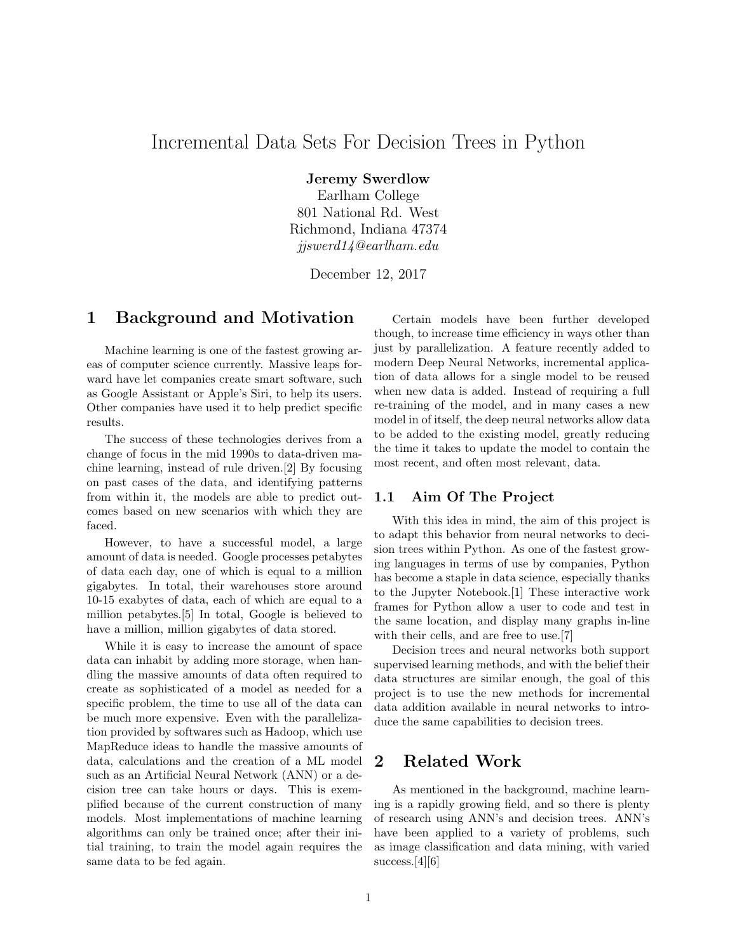# Incremental Data Sets For Decision Trees in Python

Jeremy Swerdlow

Earlham College 801 National Rd. West Richmond, Indiana 47374 jjswerd14@earlham.edu

December 12, 2017

#### 1 Background and Motivation

Machine learning is one of the fastest growing areas of computer science currently. Massive leaps forward have let companies create smart software, such as Google Assistant or Apple's Siri, to help its users. Other companies have used it to help predict specific results.

The success of these technologies derives from a change of focus in the mid 1990s to data-driven machine learning, instead of rule driven.[2] By focusing on past cases of the data, and identifying patterns from within it, the models are able to predict outcomes based on new scenarios with which they are faced.

However, to have a successful model, a large amount of data is needed. Google processes petabytes of data each day, one of which is equal to a million gigabytes. In total, their warehouses store around 10-15 exabytes of data, each of which are equal to a million petabytes.[5] In total, Google is believed to have a million, million gigabytes of data stored.

While it is easy to increase the amount of space data can inhabit by adding more storage, when handling the massive amounts of data often required to create as sophisticated of a model as needed for a specific problem, the time to use all of the data can be much more expensive. Even with the parallelization provided by softwares such as Hadoop, which use MapReduce ideas to handle the massive amounts of data, calculations and the creation of a ML model such as an Artificial Neural Network (ANN) or a decision tree can take hours or days. This is exemplified because of the current construction of many models. Most implementations of machine learning algorithms can only be trained once; after their initial training, to train the model again requires the same data to be fed again.

Certain models have been further developed though, to increase time efficiency in ways other than just by parallelization. A feature recently added to modern Deep Neural Networks, incremental application of data allows for a single model to be reused when new data is added. Instead of requiring a full re-training of the model, and in many cases a new model in of itself, the deep neural networks allow data to be added to the existing model, greatly reducing the time it takes to update the model to contain the most recent, and often most relevant, data.

#### 1.1 Aim Of The Project

With this idea in mind, the aim of this project is to adapt this behavior from neural networks to decision trees within Python. As one of the fastest growing languages in terms of use by companies, Python has become a staple in data science, especially thanks to the Jupyter Notebook.[1] These interactive work frames for Python allow a user to code and test in the same location, and display many graphs in-line with their cells, and are free to use.[7]

Decision trees and neural networks both support supervised learning methods, and with the belief their data structures are similar enough, the goal of this project is to use the new methods for incremental data addition available in neural networks to introduce the same capabilities to decision trees.

## 2 Related Work

As mentioned in the background, machine learning is a rapidly growing field, and so there is plenty of research using ANN's and decision trees. ANN's have been applied to a variety of problems, such as image classification and data mining, with varied success.[4][6]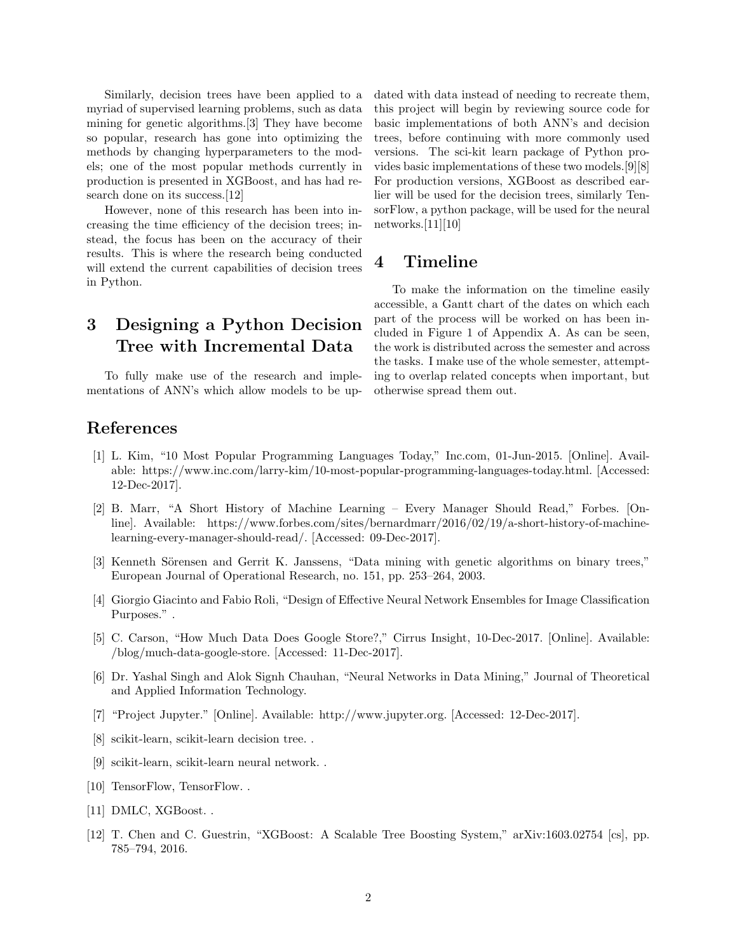Similarly, decision trees have been applied to a myriad of supervised learning problems, such as data mining for genetic algorithms.[3] They have become so popular, research has gone into optimizing the methods by changing hyperparameters to the models; one of the most popular methods currently in production is presented in XGBoost, and has had research done on its success.[12]

However, none of this research has been into increasing the time efficiency of the decision trees; instead, the focus has been on the accuracy of their results. This is where the research being conducted will extend the current capabilities of decision trees in Python.

# 3 Designing a Python Decision Tree with Incremental Data

To fully make use of the research and implementations of ANN's which allow models to be updated with data instead of needing to recreate them, this project will begin by reviewing source code for basic implementations of both ANN's and decision trees, before continuing with more commonly used versions. The sci-kit learn package of Python provides basic implementations of these two models.[9][8] For production versions, XGBoost as described earlier will be used for the decision trees, similarly TensorFlow, a python package, will be used for the neural networks. $[11][10]$ 

### 4 Timeline

To make the information on the timeline easily accessible, a Gantt chart of the dates on which each part of the process will be worked on has been included in Figure 1 of Appendix A. As can be seen, the work is distributed across the semester and across the tasks. I make use of the whole semester, attempting to overlap related concepts when important, but otherwise spread them out.

## References

- [1] L. Kim, "10 Most Popular Programming Languages Today," Inc.com, 01-Jun-2015. [Online]. Available: https://www.inc.com/larry-kim/10-most-popular-programming-languages-today.html. [Accessed: 12-Dec-2017].
- [2] B. Marr, "A Short History of Machine Learning Every Manager Should Read," Forbes. [Online]. Available: https://www.forbes.com/sites/bernardmarr/2016/02/19/a-short-history-of-machinelearning-every-manager-should-read/. [Accessed: 09-Dec-2017].
- [3] Kenneth Sörensen and Gerrit K. Janssens, "Data mining with genetic algorithms on binary trees," European Journal of Operational Research, no. 151, pp. 253–264, 2003.
- [4] Giorgio Giacinto and Fabio Roli, "Design of Effective Neural Network Ensembles for Image Classification Purposes.".
- [5] C. Carson, "How Much Data Does Google Store?," Cirrus Insight, 10-Dec-2017. [Online]. Available: /blog/much-data-google-store. [Accessed: 11-Dec-2017].
- [6] Dr. Yashal Singh and Alok Signh Chauhan, "Neural Networks in Data Mining," Journal of Theoretical and Applied Information Technology.
- [7] "Project Jupyter." [Online]. Available: http://www.jupyter.org. [Accessed: 12-Dec-2017].
- [8] scikit-learn, scikit-learn decision tree. .
- [9] scikit-learn, scikit-learn neural network. .
- [10] TensorFlow, TensorFlow...
- [11] DMLC, XGBoost. .
- [12] T. Chen and C. Guestrin, "XGBoost: A Scalable Tree Boosting System," arXiv:1603.02754 [cs], pp. 785–794, 2016.